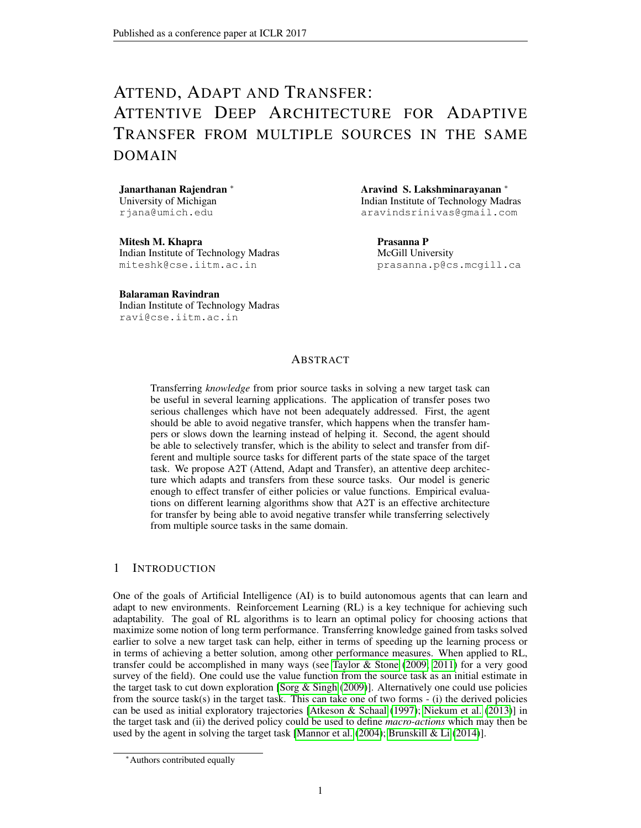# ATTEND, ADAPT AND TRANSFER: ATTENTIVE DEEP ARCHITECTURE FOR ADAPTIVE TRANSFER FROM MULTIPLE SOURCES IN THE SAME DOMAIN

Janarthanan Rajendran <sup>∗</sup> University of Michigan rjana@umich.edu

Mitesh M. Khapra Indian Institute of Technology Madras miteshk@cse.iitm.ac.in

Balaraman Ravindran Indian Institute of Technology Madras ravi@cse.iitm.ac.in

Aravind S. Lakshminarayanan <sup>∗</sup> Indian Institute of Technology Madras aravindsrinivas@gmail.com

Prasanna P McGill University prasanna.p@cs.mcgill.ca

### ABSTRACT

Transferring *knowledge* from prior source tasks in solving a new target task can be useful in several learning applications. The application of transfer poses two serious challenges which have not been adequately addressed. First, the agent should be able to avoid negative transfer, which happens when the transfer hampers or slows down the learning instead of helping it. Second, the agent should be able to selectively transfer, which is the ability to select and transfer from different and multiple source tasks for different parts of the state space of the target task. We propose A2T (Attend, Adapt and Transfer), an attentive deep architecture which adapts and transfers from these source tasks. Our model is generic enough to effect transfer of either policies or value functions. Empirical evaluations on different learning algorithms show that A2T is an effective architecture for transfer by being able to avoid negative transfer while transferring selectively from multiple source tasks in the same domain.

### 1 INTRODUCTION

One of the goals of Artificial Intelligence (AI) is to build autonomous agents that can learn and adapt to new environments. Reinforcement Learning (RL) is a key technique for achieving such adaptability. The goal of RL algorithms is to learn an optimal policy for choosing actions that maximize some notion of long term performance. Transferring knowledge gained from tasks solved earlier to solve a new target task can help, either in terms of speeding up the learning process or in terms of achieving a better solution, among other performance measures. When applied to RL, transfer could be accomplished in many ways (see [Taylor & Stone](#page-13-0) [\(2009;](#page-13-0) [2011\)](#page-13-1) for a very good survey of the field). One could use the value function from the source task as an initial estimate in the target task to cut down exploration [\[Sorg & Singh](#page-13-2) [\(2009\)](#page-13-2)]. Alternatively one could use policies from the source task(s) in the target task. This can take one of two forms  $-$  (i) the derived policies can be used as initial exploratory trajectories [\[Atkeson & Schaal](#page-12-0) [\(1997\)](#page-12-0); [Niekum et al.](#page-12-1) [\(2013\)](#page-12-1)] in the target task and (ii) the derived policy could be used to define *macro-actions* which may then be used by the agent in solving the target task [\[Mannor et al.](#page-12-2) [\(2004\)](#page-12-2); [Brunskill & Li](#page-12-3) [\(2014\)](#page-12-3)].

<sup>∗</sup>Authors contributed equally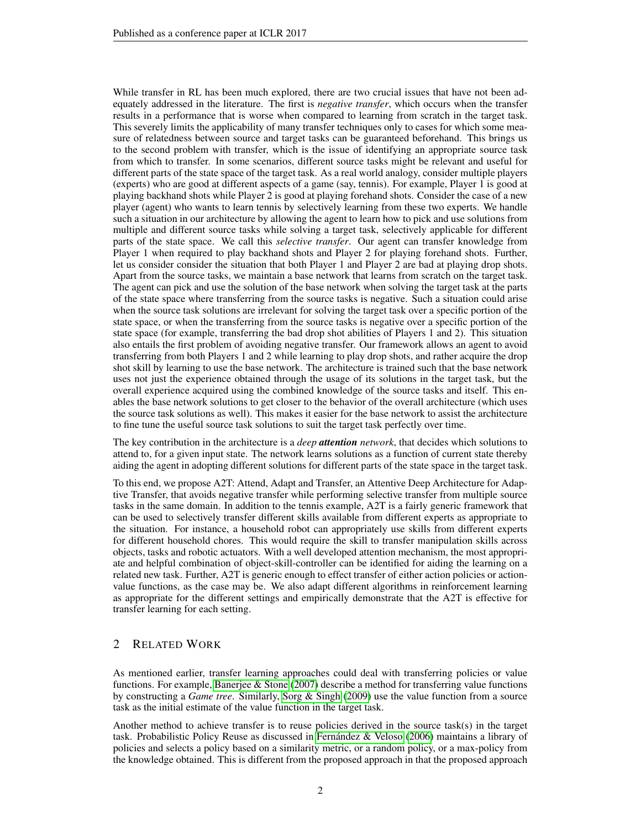While transfer in RL has been much explored, there are two crucial issues that have not been adequately addressed in the literature. The first is *negative transfer*, which occurs when the transfer results in a performance that is worse when compared to learning from scratch in the target task. This severely limits the applicability of many transfer techniques only to cases for which some measure of relatedness between source and target tasks can be guaranteed beforehand. This brings us to the second problem with transfer, which is the issue of identifying an appropriate source task from which to transfer. In some scenarios, different source tasks might be relevant and useful for different parts of the state space of the target task. As a real world analogy, consider multiple players (experts) who are good at different aspects of a game (say, tennis). For example, Player 1 is good at playing backhand shots while Player 2 is good at playing forehand shots. Consider the case of a new player (agent) who wants to learn tennis by selectively learning from these two experts. We handle such a situation in our architecture by allowing the agent to learn how to pick and use solutions from multiple and different source tasks while solving a target task, selectively applicable for different parts of the state space. We call this *selective transfer*. Our agent can transfer knowledge from Player 1 when required to play backhand shots and Player 2 for playing forehand shots. Further, let us consider consider the situation that both Player 1 and Player 2 are bad at playing drop shots. Apart from the source tasks, we maintain a base network that learns from scratch on the target task. The agent can pick and use the solution of the base network when solving the target task at the parts of the state space where transferring from the source tasks is negative. Such a situation could arise when the source task solutions are irrelevant for solving the target task over a specific portion of the state space, or when the transferring from the source tasks is negative over a specific portion of the state space (for example, transferring the bad drop shot abilities of Players 1 and 2). This situation also entails the first problem of avoiding negative transfer. Our framework allows an agent to avoid transferring from both Players 1 and 2 while learning to play drop shots, and rather acquire the drop shot skill by learning to use the base network. The architecture is trained such that the base network uses not just the experience obtained through the usage of its solutions in the target task, but the overall experience acquired using the combined knowledge of the source tasks and itself. This enables the base network solutions to get closer to the behavior of the overall architecture (which uses the source task solutions as well). This makes it easier for the base network to assist the architecture to fine tune the useful source task solutions to suit the target task perfectly over time.

The key contribution in the architecture is a *deep attention network*, that decides which solutions to attend to, for a given input state. The network learns solutions as a function of current state thereby aiding the agent in adopting different solutions for different parts of the state space in the target task.

To this end, we propose A2T: Attend, Adapt and Transfer, an Attentive Deep Architecture for Adaptive Transfer, that avoids negative transfer while performing selective transfer from multiple source tasks in the same domain. In addition to the tennis example, A2T is a fairly generic framework that can be used to selectively transfer different skills available from different experts as appropriate to the situation. For instance, a household robot can appropriately use skills from different experts for different household chores. This would require the skill to transfer manipulation skills across objects, tasks and robotic actuators. With a well developed attention mechanism, the most appropriate and helpful combination of object-skill-controller can be identified for aiding the learning on a related new task. Further, A2T is generic enough to effect transfer of either action policies or actionvalue functions, as the case may be. We also adapt different algorithms in reinforcement learning as appropriate for the different settings and empirically demonstrate that the A2T is effective for transfer learning for each setting.

### 2 RELATED WORK

As mentioned earlier, transfer learning approaches could deal with transferring policies or value functions. For example, [Banerjee & Stone](#page-12-4) [\(2007\)](#page-12-4) describe a method for transferring value functions by constructing a *Game tree*. Similarly, [Sorg & Singh](#page-13-2) [\(2009\)](#page-13-2) use the value function from a source task as the initial estimate of the value function in the target task.

Another method to achieve transfer is to reuse policies derived in the source task(s) in the target task. Probabilistic Policy Reuse as discussed in Fernández & Veloso [\(2006\)](#page-12-5) maintains a library of policies and selects a policy based on a similarity metric, or a random policy, or a max-policy from the knowledge obtained. This is different from the proposed approach in that the proposed approach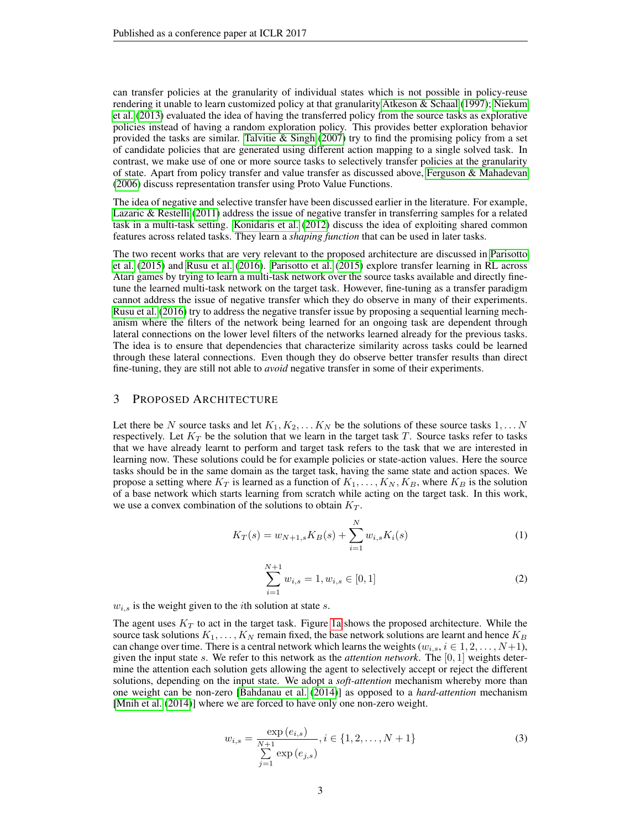can transfer policies at the granularity of individual states which is not possible in policy-reuse rendering it unable to learn customized policy at that granularity[.Atkeson & Schaal](#page-12-0) [\(1997\)](#page-12-0); [Niekum](#page-12-1) [et al.](#page-12-1) [\(2013\)](#page-12-1) evaluated the idea of having the transferred policy from the source tasks as explorative policies instead of having a random exploration policy. This provides better exploration behavior provided the tasks are similar. Talvitie  $&$  Singh [\(2007\)](#page-13-3) try to find the promising policy from a set of candidate policies that are generated using different action mapping to a single solved task. In contrast, we make use of one or more source tasks to selectively transfer policies at the granularity of state. Apart from policy transfer and value transfer as discussed above, [Ferguson & Mahadevan](#page-12-6) [\(2006\)](#page-12-6) discuss representation transfer using Proto Value Functions.

The idea of negative and selective transfer have been discussed earlier in the literature. For example, [Lazaric & Restelli](#page-12-7) [\(2011\)](#page-12-7) address the issue of negative transfer in transferring samples for a related task in a multi-task setting. [Konidaris et al.](#page-12-8) [\(2012\)](#page-12-8) discuss the idea of exploiting shared common features across related tasks. They learn a *shaping function* that can be used in later tasks.

The two recent works that are very relevant to the proposed architecture are discussed in [Parisotto](#page-12-9) [et al.](#page-12-9) [\(2015\)](#page-12-9) and [Rusu et al.](#page-13-4) [\(2016\)](#page-13-4). [Parisotto et al.](#page-12-9) [\(2015\)](#page-12-9) explore transfer learning in RL across Atari games by trying to learn a multi-task network over the source tasks available and directly finetune the learned multi-task network on the target task. However, fine-tuning as a transfer paradigm cannot address the issue of negative transfer which they do observe in many of their experiments. [Rusu et al.](#page-13-4) [\(2016\)](#page-13-4) try to address the negative transfer issue by proposing a sequential learning mechanism where the filters of the network being learned for an ongoing task are dependent through lateral connections on the lower level filters of the networks learned already for the previous tasks. The idea is to ensure that dependencies that characterize similarity across tasks could be learned through these lateral connections. Even though they do observe better transfer results than direct fine-tuning, they are still not able to *avoid* negative transfer in some of their experiments.

### 3 PROPOSED ARCHITECTURE

Let there be N source tasks and let  $K_1, K_2, \ldots K_N$  be the solutions of these source tasks  $1, \ldots N$ respectively. Let  $K_T$  be the solution that we learn in the target task T. Source tasks refer to tasks that we have already learnt to perform and target task refers to the task that we are interested in learning now. These solutions could be for example policies or state-action values. Here the source tasks should be in the same domain as the target task, having the same state and action spaces. We propose a setting where  $K_T$  is learned as a function of  $K_1, \ldots, K_N, K_B$ , where  $K_B$  is the solution of a base network which starts learning from scratch while acting on the target task. In this work, we use a convex combination of the solutions to obtain  $K_T$ .

$$
K_T(s) = w_{N+1,s} K_B(s) + \sum_{i=1}^{N} w_{i,s} K_i(s)
$$
\n(1)

<span id="page-2-2"></span>
$$
\sum_{i=1}^{N+1} w_{i,s} = 1, w_{i,s} \in [0,1]
$$
 (2)

<span id="page-2-1"></span> $w_{i,s}$  is the weight given to the *i*th solution at state *s*.

<span id="page-2-0"></span>The agent uses  $K<sub>T</sub>$  to act in the target task. Figure [1a](#page-3-0) shows the proposed architecture. While the source task solutions  $K_1, \ldots, K_N$  remain fixed, the base network solutions are learnt and hence  $K_B$ can change over time. There is a central network which learns the weights  $(w_{i,s}, i \in 1, 2, \ldots, N+1)$ , given the input state s. We refer to this network as the *attention network*. The [0, 1] weights determine the attention each solution gets allowing the agent to selectively accept or reject the different solutions, depending on the input state. We adopt a *soft-attention* mechanism whereby more than one weight can be non-zero [\[Bahdanau et al.](#page-12-10) [\(2014\)](#page-12-10)] as opposed to a *hard-attention* mechanism [\[Mnih et al.](#page-12-11) [\(2014\)](#page-12-11)] where we are forced to have only one non-zero weight.

$$
w_{i,s} = \frac{\exp(e_{i,s})}{\sum_{j=1}^{N+1} \exp(e_{j,s})}, i \in \{1, 2, ..., N+1\}
$$
 (3)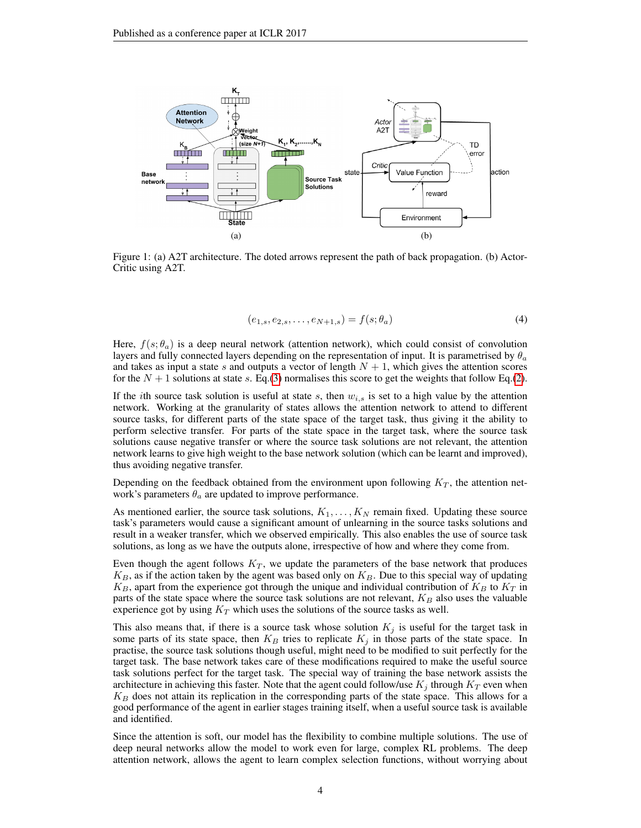<span id="page-3-0"></span>

Figure 1: (a) A2T architecture. The doted arrows represent the path of back propagation. (b) Actor-Critic using A2T.

<span id="page-3-1"></span>
$$
(e_{1,s}, e_{2,s}, \dots, e_{N+1,s}) = f(s; \theta_a)
$$
\n(4)

Here,  $f(s; \theta_a)$  is a deep neural network (attention network), which could consist of convolution layers and fully connected layers depending on the representation of input. It is parametrised by  $\theta_a$ and takes as input a state s and outputs a vector of length  $N + 1$ , which gives the attention scores for the  $N + 1$  solutions at state s. Eq.[\(3\)](#page-2-0) normalises this score to get the weights that follow Eq.[\(2\)](#page-2-1).

If the *i*th source task solution is useful at state s, then  $w_{i,s}$  is set to a high value by the attention network. Working at the granularity of states allows the attention network to attend to different source tasks, for different parts of the state space of the target task, thus giving it the ability to perform selective transfer. For parts of the state space in the target task, where the source task solutions cause negative transfer or where the source task solutions are not relevant, the attention network learns to give high weight to the base network solution (which can be learnt and improved), thus avoiding negative transfer.

Depending on the feedback obtained from the environment upon following  $K_T$ , the attention network's parameters  $\theta_a$  are updated to improve performance.

As mentioned earlier, the source task solutions,  $K_1, \ldots, K_N$  remain fixed. Updating these source task's parameters would cause a significant amount of unlearning in the source tasks solutions and result in a weaker transfer, which we observed empirically. This also enables the use of source task solutions, as long as we have the outputs alone, irrespective of how and where they come from.

Even though the agent follows  $K_T$ , we update the parameters of the base network that produces  $K_B$ , as if the action taken by the agent was based only on  $K_B$ . Due to this special way of updating  $K_B$ , apart from the experience got through the unique and individual contribution of  $K_B$  to  $K_T$  in parts of the state space where the source task solutions are not relevant,  $K_B$  also uses the valuable experience got by using  $K_T$  which uses the solutions of the source tasks as well.

This also means that, if there is a source task whose solution  $K_j$  is useful for the target task in some parts of its state space, then  $K_B$  tries to replicate  $K_j$  in those parts of the state space. In practise, the source task solutions though useful, might need to be modified to suit perfectly for the target task. The base network takes care of these modifications required to make the useful source task solutions perfect for the target task. The special way of training the base network assists the architecture in achieving this faster. Note that the agent could follow/use  $K_i$  through  $K_T$  even when  $K_B$  does not attain its replication in the corresponding parts of the state space. This allows for a good performance of the agent in earlier stages training itself, when a useful source task is available and identified.

Since the attention is soft, our model has the flexibility to combine multiple solutions. The use of deep neural networks allow the model to work even for large, complex RL problems. The deep attention network, allows the agent to learn complex selection functions, without worrying about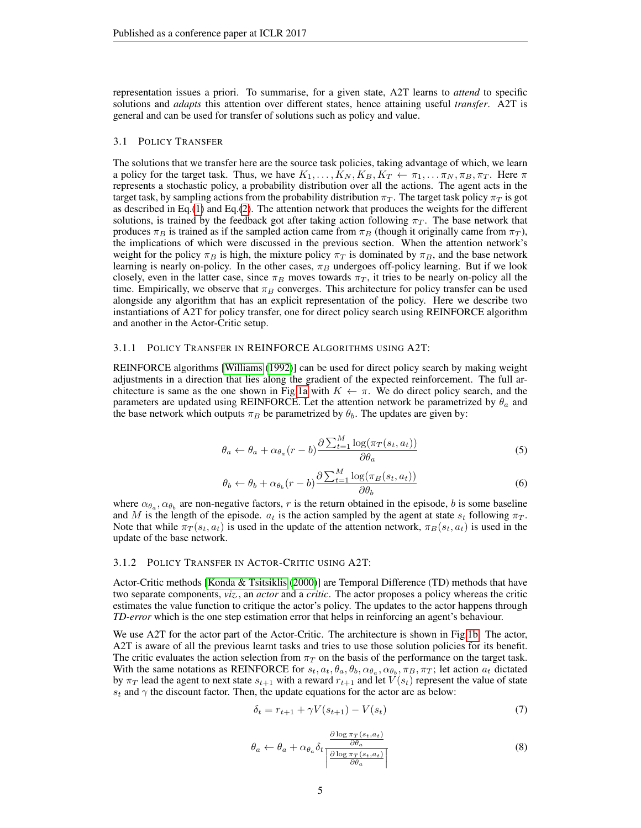representation issues a priori. To summarise, for a given state, A2T learns to *attend* to specific solutions and *adapts* this attention over different states, hence attaining useful *transfer*. A2T is general and can be used for transfer of solutions such as policy and value.

#### 3.1 POLICY TRANSFER

The solutions that we transfer here are the source task policies, taking advantage of which, we learn a policy for the target task. Thus, we have  $K_1, \ldots, K_N, K_B, K_T \leftarrow \pi_1, \ldots, \pi_N, \pi_B, \pi_T$ . Here  $\pi$ represents a stochastic policy, a probability distribution over all the actions. The agent acts in the target task, by sampling actions from the probability distribution  $\pi_T$ . The target task policy  $\pi_T$  is got as described in Eq.[\(1\)](#page-2-2) and Eq.[\(2\)](#page-2-1). The attention network that produces the weights for the different solutions, is trained by the feedback got after taking action following  $\pi_T$ . The base network that produces  $\pi_B$  is trained as if the sampled action came from  $\pi_B$  (though it originally came from  $\pi_T$ ), the implications of which were discussed in the previous section. When the attention network's weight for the policy  $\pi_B$  is high, the mixture policy  $\pi_T$  is dominated by  $\pi_B$ , and the base network learning is nearly on-policy. In the other cases,  $\pi_B$  undergoes off-policy learning. But if we look closely, even in the latter case, since  $\pi_B$  moves towards  $\pi_T$ , it tries to be nearly on-policy all the time. Empirically, we observe that  $\pi_B$  converges. This architecture for policy transfer can be used alongside any algorithm that has an explicit representation of the policy. Here we describe two instantiations of A2T for policy transfer, one for direct policy search using REINFORCE algorithm and another in the Actor-Critic setup.

#### 3.1.1 POLICY TRANSFER IN REINFORCE ALGORITHMS USING A2T:

REINFORCE algorithms [\[Williams](#page-13-5) [\(1992\)](#page-13-5)] can be used for direct policy search by making weight adjustments in a direction that lies along the gradient of the expected reinforcement. The full ar-chitecture is same as the one shown in Fig[.1a](#page-3-0) with  $K \leftarrow \pi$ . We do direct policy search, and the parameters are updated using REINFORCE. Let the attention network be parametrized by  $\theta_a$  and the base network which outputs  $\pi_B$  be parametrized by  $\theta_b$ . The updates are given by:

$$
\theta_a \leftarrow \theta_a + \alpha_{\theta_a}(r - b) \frac{\partial \sum_{t=1}^{M} \log(\pi_T(s_t, a_t))}{\partial \theta_a} \tag{5}
$$

$$
\theta_b \leftarrow \theta_b + \alpha_{\theta_b}(r - b) \frac{\partial \sum_{t=1}^{M} \log(\pi_B(s_t, a_t))}{\partial \theta_b} \tag{6}
$$

where  $\alpha_{\theta_a}, \alpha_{\theta_b}$  are non-negative factors, r is the return obtained in the episode, b is some baseline and M is the length of the episode.  $a_t$  is the action sampled by the agent at state  $s_t$  following  $\pi_T$ . Note that while  $\pi_T(s_t, a_t)$  is used in the update of the attention network,  $\pi_B(s_t, a_t)$  is used in the update of the base network.

#### 3.1.2 POLICY TRANSFER IN ACTOR-CRITIC USING A2T:

Actor-Critic methods [\[Konda & Tsitsiklis](#page-12-12) [\(2000\)](#page-12-12)] are Temporal Difference (TD) methods that have two separate components, *viz.*, an *actor* and a *critic*. The actor proposes a policy whereas the critic estimates the value function to critique the actor's policy. The updates to the actor happens through *TD-error* which is the one step estimation error that helps in reinforcing an agent's behaviour.

We use A2T for the actor part of the Actor-Critic. The architecture is shown in Fig[.1b.](#page-3-1) The actor, A2T is aware of all the previous learnt tasks and tries to use those solution policies for its benefit. The critic evaluates the action selection from  $\pi_T$  on the basis of the performance on the target task. With the same notations as REINFORCE for  $s_t, a_t, \theta_a, \theta_b, \alpha_{\theta_a}, \alpha_{\theta_b}, \pi_B, \pi_T$ ; let action  $a_t$  dictated by  $\pi_T$  lead the agent to next state  $s_{t+1}$  with a reward  $r_{t+1}$  and let  $V(s_t)$  represent the value of state  $s_t$  and  $\gamma$  the discount factor. Then, the update equations for the actor are as below:

$$
\delta_t = r_{t+1} + \gamma V(s_{t+1}) - V(s_t)
$$
\n(7)

$$
\theta_a \leftarrow \theta_a + \alpha_{\theta_a} \delta_t \frac{\frac{\partial \log \pi_T(s_t, a_t)}{\partial \theta_a}}{\left| \frac{\partial \log \pi_T(s_t, a_t)}{\partial \theta_a} \right|} \tag{8}
$$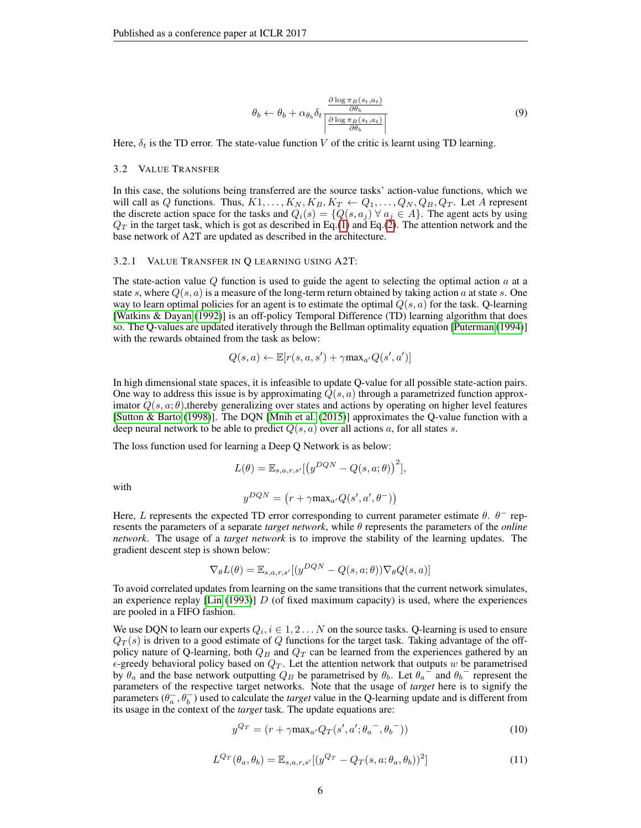$$
\theta_b \leftarrow \theta_b + \alpha_{\theta_b} \delta_t \frac{\frac{\partial \log \pi_B(s_t, a_t)}{\partial \theta_b}}{\left| \frac{\partial \log \pi_B(s_t, a_t)}{\partial \theta_b} \right|} \tag{9}
$$

Here,  $\delta_t$  is the TD error. The state-value function V of the critic is learnt using TD learning.

#### 3.2 VALUE TRANSFER

In this case, the solutions being transferred are the source tasks' action-value functions, which we will call as Q functions. Thus,  $K1, \ldots, K_N, K_B, K_T \leftarrow Q_1, \ldots, Q_N, Q_B, Q_T$ . Let A represent the discrete action space for the tasks and  $Q_i(s) = \{Q(s, a_j) \forall a_j \in A\}$ . The agent acts by using  $Q_T$  in the target task, which is got as described in Eq.[\(1\)](#page-2-2) and Eq.[\(2\)](#page-2-1). The attention network and the base network of A2T are updated as described in the architecture.

#### 3.2.1 VALUE TRANSFER IN Q LEARNING USING A2T:

The state-action value  $Q$  function is used to guide the agent to selecting the optimal action  $a$  at a state s, where  $Q(s, a)$  is a measure of the long-term return obtained by taking action a at state s. One way to learn optimal policies for an agent is to estimate the optimal  $Q(s, a)$  for the task. Q-learning [\[Watkins & Dayan](#page-13-6) [\(1992\)](#page-13-6)] is an off-policy Temporal Difference (TD) learning algorithm that does so. The Q-values are updated iteratively through the Bellman optimality equation [\[Puterman](#page-12-13) [\(1994\)](#page-12-13)] with the rewards obtained from the task as below:

$$
Q(s, a) \leftarrow \mathbb{E}[r(s, a, s') + \gamma \max_{a'} Q(s', a')]
$$

In high dimensional state spaces, it is infeasible to update Q-value for all possible state-action pairs. One way to address this issue is by approximating  $Q(s, a)$  through a parametrized function approximator  $Q(s, a; \theta)$ , thereby generalizing over states and actions by operating on higher level features [\[Sutton & Barto](#page-13-7) [\(1998\)](#page-13-7)]. The DQN [\[Mnih et al.](#page-12-14) [\(2015\)](#page-12-14)] approximates the Q-value function with a deep neural network to be able to predict  $Q(s, a)$  over all actions a, for all states s.

The loss function used for learning a Deep Q Network is as below:

$$
L(\theta) = \mathbb{E}_{s,a,r,s'}[(y^{DQN} - Q(s,a;\theta))^{2}],
$$

with

$$
y^{DQN} = (r + \gamma \max_{a'} Q(s', a', \theta^{-}))
$$

Here, L represents the expected TD error corresponding to current parameter estimate  $\theta$ .  $\theta^-$  represents the parameters of a separate *target network*, while θ represents the parameters of the *online network*. The usage of a *target network* is to improve the stability of the learning updates. The gradient descent step is shown below:

$$
\nabla_{\theta}L(\theta) = \mathbb{E}_{s,a,r,s'}[(y^{DQN} - Q(s,a;\theta))\nabla_{\theta}Q(s,a)]
$$

To avoid correlated updates from learning on the same transitions that the current network simulates, an experience replay [\[Lin](#page-12-15) [\(1993\)](#page-12-15)]  $D$  (of fixed maximum capacity) is used, where the experiences are pooled in a FIFO fashion.

We use DQN to learn our experts  $Q_i, i \in 1, 2 \ldots N$  on the source tasks. Q-learning is used to ensure  $Q_T(s)$  is driven to a good estimate of Q functions for the target task. Taking advantage of the offpolicy nature of Q-learning, both  $Q_B$  and  $Q_T$  can be learned from the experiences gathered by an  $\epsilon$ -greedy behavioral policy based on  $Q_T$ . Let the attention network that outputs w be parametrised by  $\theta_a$  and the base network outputting  $Q_B$  be parametrised by  $\theta_b$ . Let  $\theta_a$  and  $\theta_b$  represent the parameters of the respective target networks. Note that the usage of *target* here is to signify the parameters  $(\theta_a^-, \theta_b^-)$  used to calculate the *target* value in the Q-learning update and is different from its usage in the context of the *target* task. The update equations are:

$$
y^{Q_T} = (r + \gamma \max_{a'} Q_T(s', a'; \theta_a^-, \theta_b^-))
$$
\n(10)

<span id="page-5-0"></span>
$$
L^{Q_T}(\theta_a, \theta_b) = \mathbb{E}_{s,a,r,s'}[(y^{Q_T} - Q_T(s, a; \theta_a, \theta_b))^2]
$$
\n(11)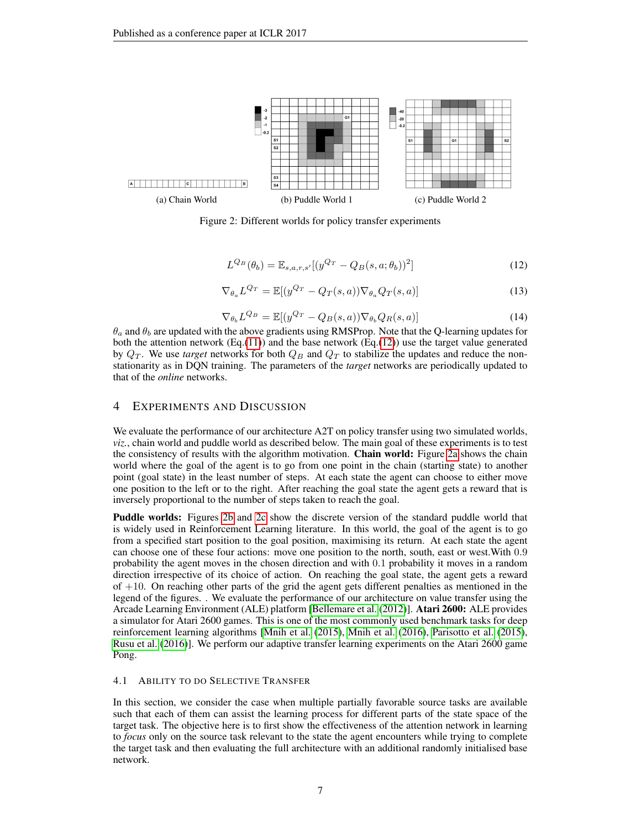<span id="page-6-1"></span>

<span id="page-6-2"></span>Figure 2: Different worlds for policy transfer experiments

<span id="page-6-3"></span>
$$
L^{Q_B}(\theta_b) = \mathbb{E}_{s,a,r,s'}[(y^{Q_T} - Q_B(s,a;\theta_b))^2]
$$
\n(12)

$$
\nabla_{\theta_a} L^{Q_T} = \mathbb{E}[(y^{Q_T} - Q_T(s, a)) \nabla_{\theta_a} Q_T(s, a)] \tag{13}
$$

$$
\nabla_{\theta_b} L^{Q_B} = \mathbb{E}[(y^{Q_T} - Q_B(s, a)) \nabla_{\theta_b} Q_R(s, a)] \tag{14}
$$

<span id="page-6-0"></span> $\theta_a$  and  $\theta_b$  are updated with the above gradients using RMSProp. Note that the Q-learning updates for both the attention network  $(Eq.(11))$  $(Eq.(11))$  $(Eq.(11))$  and the base network  $(Eq.(12))$  $(Eq.(12))$  $(Eq.(12))$  use the target value generated by  $Q_T$ . We use *target* networks for both  $Q_B$  and  $Q_T$  to stabilize the updates and reduce the nonstationarity as in DQN training. The parameters of the *target* networks are periodically updated to that of the *online* networks.

### 4 EXPERIMENTS AND DISCUSSION

We evaluate the performance of our architecture A2T on policy transfer using two simulated worlds, *viz.*, chain world and puddle world as described below. The main goal of these experiments is to test the consistency of results with the algorithm motivation. Chain world: Figure [2a](#page-6-1) shows the chain world where the goal of the agent is to go from one point in the chain (starting state) to another point (goal state) in the least number of steps. At each state the agent can choose to either move one position to the left or to the right. After reaching the goal state the agent gets a reward that is inversely proportional to the number of steps taken to reach the goal.

Puddle worlds: Figures [2b](#page-6-2) and [2c](#page-6-3) show the discrete version of the standard puddle world that is widely used in Reinforcement Learning literature. In this world, the goal of the agent is to go from a specified start position to the goal position, maximising its return. At each state the agent can choose one of these four actions: move one position to the north, south, east or west.With 0.9 probability the agent moves in the chosen direction and with 0.1 probability it moves in a random direction irrespective of its choice of action. On reaching the goal state, the agent gets a reward of +10. On reaching other parts of the grid the agent gets different penalties as mentioned in the legend of the figures. . We evaluate the performance of our architecture on value transfer using the Arcade Learning Environment (ALE) platform [\[Bellemare et al.](#page-12-16) [\(2012\)](#page-12-16)]. Atari 2600: ALE provides a simulator for Atari 2600 games. This is one of the most commonly used benchmark tasks for deep reinforcement learning algorithms [\[Mnih et al.](#page-12-14) [\(2015\)](#page-12-14), [Mnih et al.](#page-12-17) [\(2016\)](#page-12-17), [Parisotto et al.](#page-12-9) [\(2015\)](#page-12-9), [Rusu et al.](#page-13-4) [\(2016\)](#page-13-4)]. We perform our adaptive transfer learning experiments on the Atari 2600 game Pong.

#### 4.1 ABILITY TO DO SELECTIVE TRANSFER

In this section, we consider the case when multiple partially favorable source tasks are available such that each of them can assist the learning process for different parts of the state space of the target task. The objective here is to first show the effectiveness of the attention network in learning to *focus* only on the source task relevant to the state the agent encounters while trying to complete the target task and then evaluating the full architecture with an additional randomly initialised base network.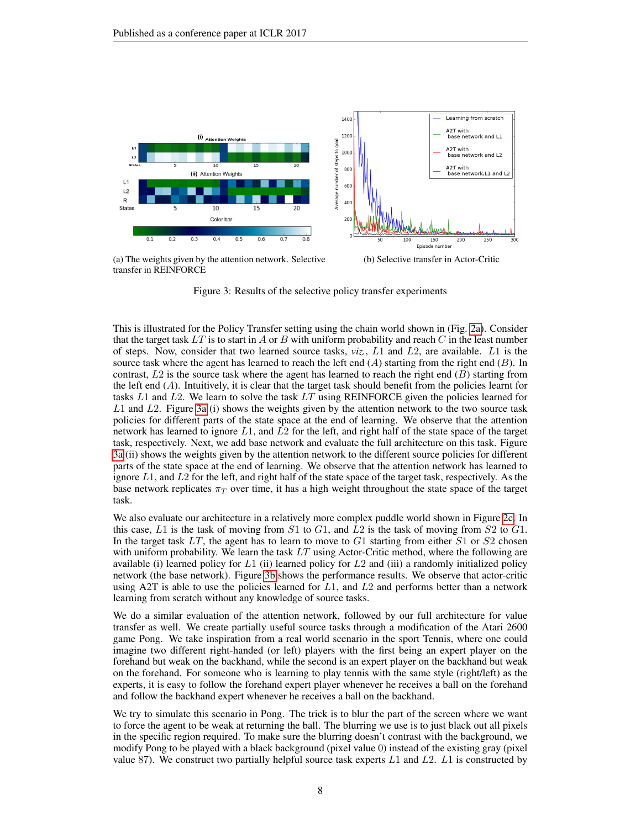<span id="page-7-0"></span>

(a) The weights given by the attention network. Selective transfer in REINFORCE

<span id="page-7-1"></span>(b) Selective transfer in Actor-Critic

Figure 3: Results of the selective policy transfer experiments

This is illustrated for the Policy Transfer setting using the chain world shown in (Fig. [2a\)](#page-6-1). Consider that the target task  $LT$  is to start in A or B with uniform probability and reach C in the least number of steps. Now, consider that two learned source tasks, *viz.*, L1 and L2, are available. L1 is the source task where the agent has learned to reach the left end  $(A)$  starting from the right end  $(B)$ . In contrast,  $L2$  is the source task where the agent has learned to reach the right end  $(B)$  starting from the left end  $(A)$ . Intuitively, it is clear that the target task should benefit from the policies learnt for tasks  $L1$  and  $L2$ . We learn to solve the task  $LT$  using REINFORCE given the policies learned for  $L1$  and  $L2$ . Figure [3a](#page-7-0) (i) shows the weights given by the attention network to the two source task policies for different parts of the state space at the end of learning. We observe that the attention network has learned to ignore  $L1$ , and  $L2$  for the left, and right half of the state space of the target task, respectively. Next, we add base network and evaluate the full architecture on this task. Figure [3a](#page-7-0) (ii) shows the weights given by the attention network to the different source policies for different parts of the state space at the end of learning. We observe that the attention network has learned to ignore  $L1$ , and  $L2$  for the left, and right half of the state space of the target task, respectively. As the base network replicates  $\pi_T$  over time, it has a high weight throughout the state space of the target task.

We also evaluate our architecture in a relatively more complex puddle world shown in Figure [2c.](#page-6-3) In this case,  $L1$  is the task of moving from  $S1$  to  $G1$ , and  $L2$  is the task of moving from  $S2$  to  $G1$ . In the target task  $LT$ , the agent has to learn to move to  $G1$  starting from either  $S1$  or  $S2$  chosen with uniform probability. We learn the task  $LT$  using Actor-Critic method, where the following are available (i) learned policy for L1 (ii) learned policy for L2 and (iii) a randomly initialized policy network (the base network). Figure [3b](#page-7-1) shows the performance results. We observe that actor-critic using  $A2T$  is able to use the policies learned for  $L1$ , and  $L2$  and performs better than a network learning from scratch without any knowledge of source tasks.

We do a similar evaluation of the attention network, followed by our full architecture for value transfer as well. We create partially useful source tasks through a modification of the Atari 2600 game Pong. We take inspiration from a real world scenario in the sport Tennis, where one could imagine two different right-handed (or left) players with the first being an expert player on the forehand but weak on the backhand, while the second is an expert player on the backhand but weak on the forehand. For someone who is learning to play tennis with the same style (right/left) as the experts, it is easy to follow the forehand expert player whenever he receives a ball on the forehand and follow the backhand expert whenever he receives a ball on the backhand.

We try to simulate this scenario in Pong. The trick is to blur the part of the screen where we want to force the agent to be weak at returning the ball. The blurring we use is to just black out all pixels in the specific region required. To make sure the blurring doesn't contrast with the background, we modify Pong to be played with a black background (pixel value 0) instead of the existing gray (pixel value 87). We construct two partially helpful source task experts  $L1$  and  $L2$ .  $L1$  is constructed by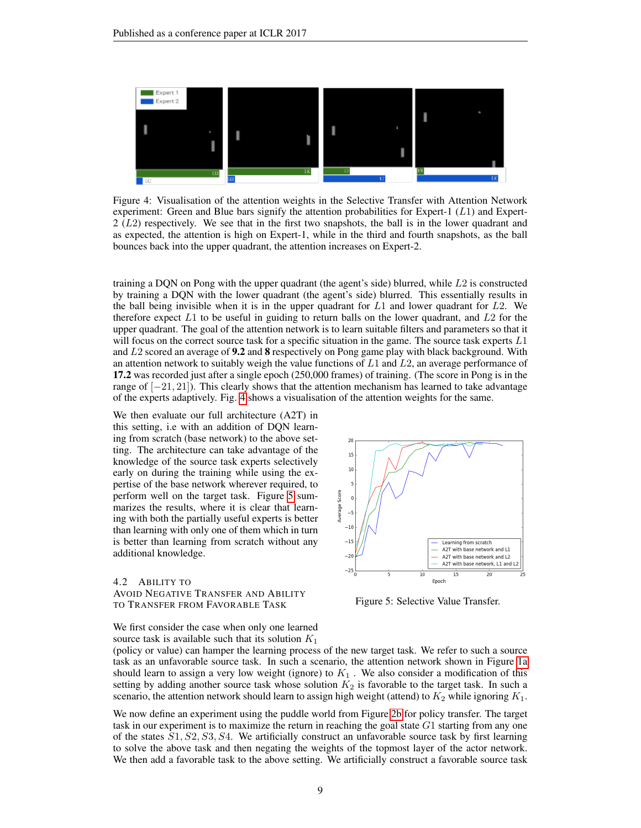<span id="page-8-0"></span>

Figure 4: Visualisation of the attention weights in the Selective Transfer with Attention Network experiment: Green and Blue bars signify the attention probabilities for Expert-1  $(L1)$  and Expert- $2 (L2)$  respectively. We see that in the first two snapshots, the ball is in the lower quadrant and as expected, the attention is high on Expert-1, while in the third and fourth snapshots, as the ball bounces back into the upper quadrant, the attention increases on Expert-2.

training a DQN on Pong with the upper quadrant (the agent's side) blurred, while L2 is constructed by training a DQN with the lower quadrant (the agent's side) blurred. This essentially results in the ball being invisible when it is in the upper quadrant for  $L1$  and lower quadrant for  $L2$ . We therefore expect  $L1$  to be useful in guiding to return balls on the lower quadrant, and  $L2$  for the upper quadrant. The goal of the attention network is to learn suitable filters and parameters so that it will focus on the correct source task for a specific situation in the game. The source task experts L1 and  $L2$  scored an average of **9.2** and **8** respectively on Pong game play with black background. With an attention network to suitably weigh the value functions of  $L1$  and  $L2$ , an average performance of 17.2 was recorded just after a single epoch (250,000 frames) of training. (The score in Pong is in the range of  $[-21, 21]$ ). This clearly shows that the attention mechanism has learned to take advantage of the experts adaptively. Fig. [4](#page-8-0) shows a visualisation of the attention weights for the same.

We then evaluate our full architecture (A2T) in this setting, i.e with an addition of DQN learning from scratch (base network) to the above setting. The architecture can take advantage of the knowledge of the source task experts selectively early on during the training while using the expertise of the base network wherever required, to perform well on the target task. Figure [5](#page-8-1) summarizes the results, where it is clear that learning with both the partially useful experts is better than learning with only one of them which in turn is better than learning from scratch without any additional knowledge.

4.2 ABILITY TO AVOID NEGATIVE TRANSFER AND ABILITY TO TRANSFER FROM FAVORABLE TASK

<span id="page-8-1"></span>

Figure 5: Selective Value Transfer.

We first consider the case when only one learned source task is available such that its solution  $K_1$ 

(policy or value) can hamper the learning process of the new target task. We refer to such a source task as an unfavorable source task. In such a scenario, the attention network shown in Figure [1a](#page-3-0) should learn to assign a very low weight (ignore) to  $K_1$ . We also consider a modification of this setting by adding another source task whose solution  $K_2$  is favorable to the target task. In such a scenario, the attention network should learn to assign high weight (attend) to  $K_2$  while ignoring  $K_1$ .

We now define an experiment using the puddle world from Figure [2b](#page-6-2) for policy transfer. The target task in our experiment is to maximize the return in reaching the goal state  $G_1$  starting from any one of the states  $S_1, S_2, S_3, S_4$ . We artificially construct an unfavorable source task by first learning to solve the above task and then negating the weights of the topmost layer of the actor network. We then add a favorable task to the above setting. We artificially construct a favorable source task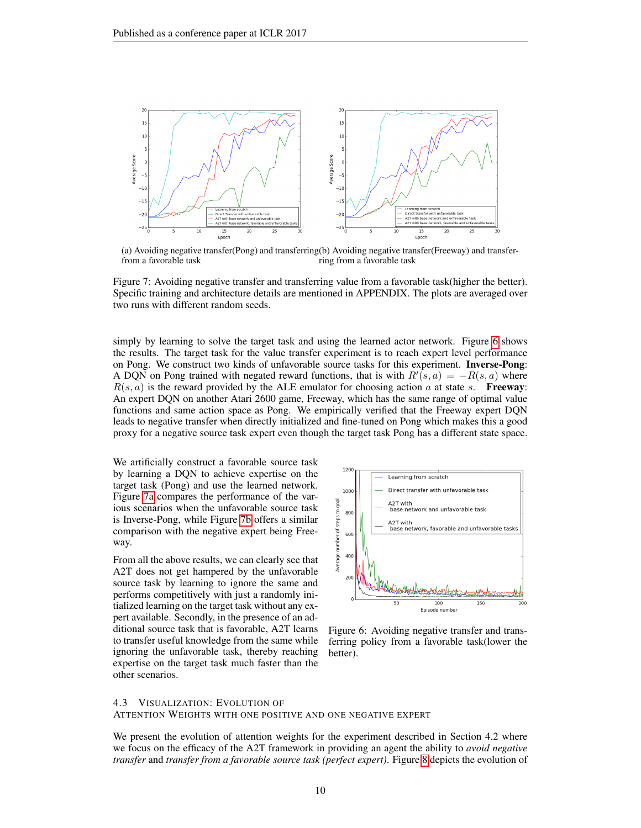<span id="page-9-1"></span>

<span id="page-9-2"></span>(a) Avoiding negative transfer(Pong) and transferring (b) Avoiding negative transfer(Freeway) and transferfrom a favorable task ring from a favorable task

Figure 7: Avoiding negative transfer and transferring value from a favorable task(higher the better). Specific training and architecture details are mentioned in APPENDIX. The plots are averaged over two runs with different random seeds.

simply by learning to solve the target task and using the learned actor network. Figure [6](#page-9-0) shows the results. The target task for the value transfer experiment is to reach expert level performance on Pong. We construct two kinds of unfavorable source tasks for this experiment. **Inverse-Pong**: A DQN on Pong trained with negated reward functions, that is with  $R'(s, a) = -R(s, a)$  where  $R(s, a)$  is the reward provided by the ALE emulator for choosing action a at state s. **Freeway**: An expert DQN on another Atari 2600 game, Freeway, which has the same range of optimal value functions and same action space as Pong. We empirically verified that the Freeway expert DQN leads to negative transfer when directly initialized and fine-tuned on Pong which makes this a good proxy for a negative source task expert even though the target task Pong has a different state space.

We artificially construct a favorable source task by learning a DQN to achieve expertise on the target task (Pong) and use the learned network. Figure [7a](#page-9-1) compares the performance of the various scenarios when the unfavorable source task is Inverse-Pong, while Figure [7b](#page-9-2) offers a similar comparison with the negative expert being Freeway.

From all the above results, we can clearly see that A2T does not get hampered by the unfavorable source task by learning to ignore the same and performs competitively with just a randomly initialized learning on the target task without any expert available. Secondly, in the presence of an additional source task that is favorable, A2T learns to transfer useful knowledge from the same while ignoring the unfavorable task, thereby reaching expertise on the target task much faster than the other scenarios.

<span id="page-9-0"></span>

Figure 6: Avoiding negative transfer and transferring policy from a favorable task(lower the better).

#### 4.3 VISUALIZATION: EVOLUTION OF ATTENTION WEIGHTS WITH ONE POSITIVE AND ONE NEGATIVE EXPERT

We present the evolution of attention weights for the experiment described in Section 4.2 where we focus on the efficacy of the A2T framework in providing an agent the ability to *avoid negative transfer* and *transfer from a favorable source task (perfect expert)*. Figure [8](#page-10-0) depicts the evolution of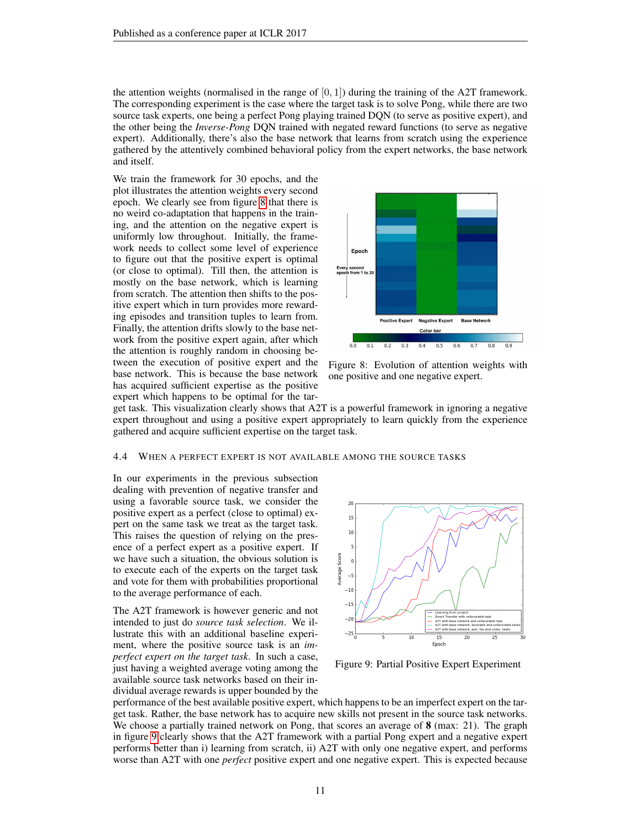the attention weights (normalised in the range of  $[0, 1]$ ) during the training of the A2T framework. The corresponding experiment is the case where the target task is to solve Pong, while there are two source task experts, one being a perfect Pong playing trained DQN (to serve as positive expert), and the other being the *Inverse-Pong* DQN trained with negated reward functions (to serve as negative expert). Additionally, there's also the base network that learns from scratch using the experience gathered by the attentively combined behavioral policy from the expert networks, the base network and itself.

We train the framework for 30 epochs, and the plot illustrates the attention weights every second epoch. We clearly see from figure [8](#page-10-0) that there is no weird co-adaptation that happens in the training, and the attention on the negative expert is uniformly low throughout. Initially, the framework needs to collect some level of experience to figure out that the positive expert is optimal (or close to optimal). Till then, the attention is mostly on the base network, which is learning from scratch. The attention then shifts to the positive expert which in turn provides more rewarding episodes and transition tuples to learn from. Finally, the attention drifts slowly to the base network from the positive expert again, after which the attention is roughly random in choosing between the execution of positive expert and the base network. This is because the base network has acquired sufficient expertise as the positive expert which happens to be optimal for the tar-

<span id="page-10-0"></span>

Figure 8: Evolution of attention weights with one positive and one negative expert.

get task. This visualization clearly shows that A2T is a powerful framework in ignoring a negative expert throughout and using a positive expert appropriately to learn quickly from the experience gathered and acquire sufficient expertise on the target task.

#### 4.4 WHEN A PERFECT EXPERT IS NOT AVAILABLE AMONG THE SOURCE TASKS

In our experiments in the previous subsection dealing with prevention of negative transfer and using a favorable source task, we consider the positive expert as a perfect (close to optimal) expert on the same task we treat as the target task. This raises the question of relying on the presence of a perfect expert as a positive expert. If we have such a situation, the obvious solution is to execute each of the experts on the target task and vote for them with probabilities proportional to the average performance of each.

The A2T framework is however generic and not intended to just do *source task selection*. We illustrate this with an additional baseline experiment, where the positive source task is an *imperfect expert on the target task*. In such a case, just having a weighted average voting among the available source task networks based on their individual average rewards is upper bounded by the

<span id="page-10-1"></span>

Figure 9: Partial Positive Expert Experiment

performance of the best available positive expert, which happens to be an imperfect expert on the target task. Rather, the base network has to acquire new skills not present in the source task networks. We choose a partially trained network on Pong, that scores an average of 8 (max: 21). The graph in figure [9](#page-10-1) clearly shows that the A2T framework with a partial Pong expert and a negative expert performs better than i) learning from scratch, ii) A2T with only one negative expert, and performs worse than A2T with one *perfect* positive expert and one negative expert. This is expected because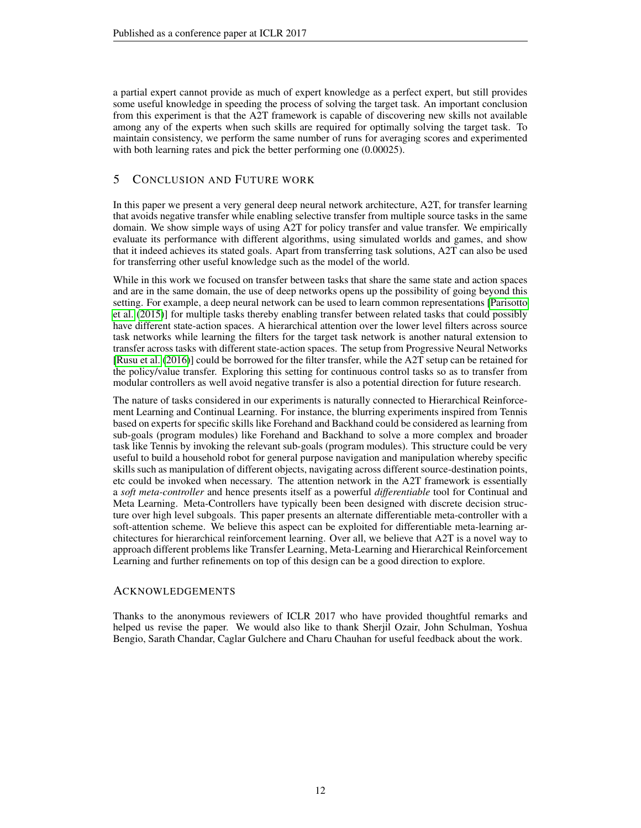a partial expert cannot provide as much of expert knowledge as a perfect expert, but still provides some useful knowledge in speeding the process of solving the target task. An important conclusion from this experiment is that the A2T framework is capable of discovering new skills not available among any of the experts when such skills are required for optimally solving the target task. To maintain consistency, we perform the same number of runs for averaging scores and experimented with both learning rates and pick the better performing one  $(0.00025)$ .

### 5 CONCLUSION AND FUTURE WORK

In this paper we present a very general deep neural network architecture, A2T, for transfer learning that avoids negative transfer while enabling selective transfer from multiple source tasks in the same domain. We show simple ways of using A2T for policy transfer and value transfer. We empirically evaluate its performance with different algorithms, using simulated worlds and games, and show that it indeed achieves its stated goals. Apart from transferring task solutions, A2T can also be used for transferring other useful knowledge such as the model of the world.

While in this work we focused on transfer between tasks that share the same state and action spaces and are in the same domain, the use of deep networks opens up the possibility of going beyond this setting. For example, a deep neural network can be used to learn common representations [\[Parisotto](#page-12-9) [et al.](#page-12-9) [\(2015\)](#page-12-9)] for multiple tasks thereby enabling transfer between related tasks that could possibly have different state-action spaces. A hierarchical attention over the lower level filters across source task networks while learning the filters for the target task network is another natural extension to transfer across tasks with different state-action spaces. The setup from Progressive Neural Networks [\[Rusu et al.](#page-13-4) [\(2016\)](#page-13-4)] could be borrowed for the filter transfer, while the A2T setup can be retained for the policy/value transfer. Exploring this setting for continuous control tasks so as to transfer from modular controllers as well avoid negative transfer is also a potential direction for future research.

The nature of tasks considered in our experiments is naturally connected to Hierarchical Reinforcement Learning and Continual Learning. For instance, the blurring experiments inspired from Tennis based on experts for specific skills like Forehand and Backhand could be considered as learning from sub-goals (program modules) like Forehand and Backhand to solve a more complex and broader task like Tennis by invoking the relevant sub-goals (program modules). This structure could be very useful to build a household robot for general purpose navigation and manipulation whereby specific skills such as manipulation of different objects, navigating across different source-destination points, etc could be invoked when necessary. The attention network in the A2T framework is essentially a *soft meta-controller* and hence presents itself as a powerful *differentiable* tool for Continual and Meta Learning. Meta-Controllers have typically been been designed with discrete decision structure over high level subgoals. This paper presents an alternate differentiable meta-controller with a soft-attention scheme. We believe this aspect can be exploited for differentiable meta-learning architectures for hierarchical reinforcement learning. Over all, we believe that A2T is a novel way to approach different problems like Transfer Learning, Meta-Learning and Hierarchical Reinforcement Learning and further refinements on top of this design can be a good direction to explore.

### ACKNOWLEDGEMENTS

Thanks to the anonymous reviewers of ICLR 2017 who have provided thoughtful remarks and helped us revise the paper. We would also like to thank Sherjil Ozair, John Schulman, Yoshua Bengio, Sarath Chandar, Caglar Gulchere and Charu Chauhan for useful feedback about the work.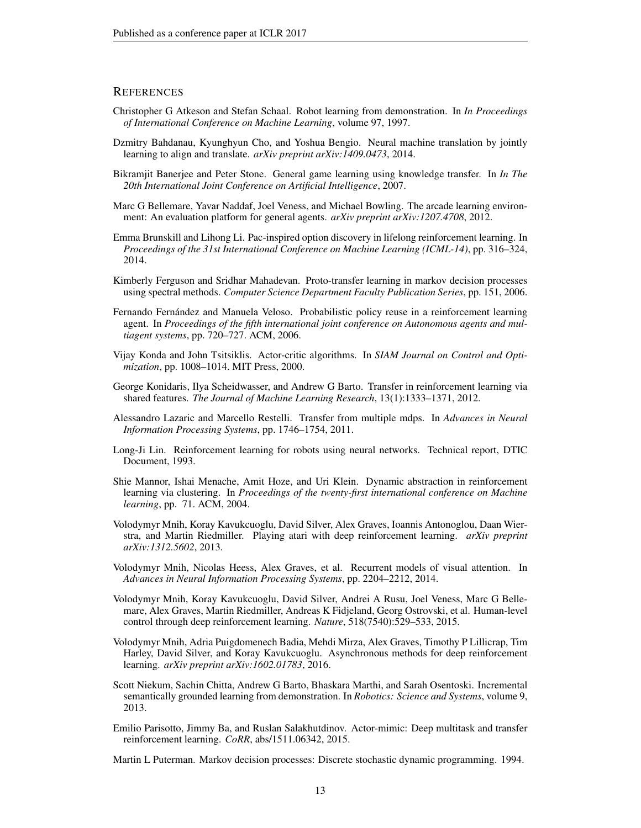### **REFERENCES**

- <span id="page-12-0"></span>Christopher G Atkeson and Stefan Schaal. Robot learning from demonstration. In *In Proceedings of International Conference on Machine Learning*, volume 97, 1997.
- <span id="page-12-10"></span>Dzmitry Bahdanau, Kyunghyun Cho, and Yoshua Bengio. Neural machine translation by jointly learning to align and translate. *arXiv preprint arXiv:1409.0473*, 2014.
- <span id="page-12-4"></span>Bikramjit Banerjee and Peter Stone. General game learning using knowledge transfer. In *In The 20th International Joint Conference on Artificial Intelligence*, 2007.
- <span id="page-12-16"></span>Marc G Bellemare, Yavar Naddaf, Joel Veness, and Michael Bowling. The arcade learning environment: An evaluation platform for general agents. *arXiv preprint arXiv:1207.4708*, 2012.
- <span id="page-12-3"></span>Emma Brunskill and Lihong Li. Pac-inspired option discovery in lifelong reinforcement learning. In *Proceedings of the 31st International Conference on Machine Learning (ICML-14)*, pp. 316–324, 2014.
- <span id="page-12-6"></span>Kimberly Ferguson and Sridhar Mahadevan. Proto-transfer learning in markov decision processes using spectral methods. *Computer Science Department Faculty Publication Series*, pp. 151, 2006.
- <span id="page-12-5"></span>Fernando Fernandez and Manuela Veloso. Probabilistic policy reuse in a reinforcement learning ´ agent. In *Proceedings of the fifth international joint conference on Autonomous agents and multiagent systems*, pp. 720–727. ACM, 2006.
- <span id="page-12-12"></span>Vijay Konda and John Tsitsiklis. Actor-critic algorithms. In *SIAM Journal on Control and Optimization*, pp. 1008–1014. MIT Press, 2000.
- <span id="page-12-8"></span>George Konidaris, Ilya Scheidwasser, and Andrew G Barto. Transfer in reinforcement learning via shared features. *The Journal of Machine Learning Research*, 13(1):1333–1371, 2012.
- <span id="page-12-7"></span>Alessandro Lazaric and Marcello Restelli. Transfer from multiple mdps. In *Advances in Neural Information Processing Systems*, pp. 1746–1754, 2011.
- <span id="page-12-15"></span>Long-Ji Lin. Reinforcement learning for robots using neural networks. Technical report, DTIC Document, 1993.
- <span id="page-12-2"></span>Shie Mannor, Ishai Menache, Amit Hoze, and Uri Klein. Dynamic abstraction in reinforcement learning via clustering. In *Proceedings of the twenty-first international conference on Machine learning*, pp. 71. ACM, 2004.
- <span id="page-12-18"></span>Volodymyr Mnih, Koray Kavukcuoglu, David Silver, Alex Graves, Ioannis Antonoglou, Daan Wierstra, and Martin Riedmiller. Playing atari with deep reinforcement learning. *arXiv preprint arXiv:1312.5602*, 2013.
- <span id="page-12-11"></span>Volodymyr Mnih, Nicolas Heess, Alex Graves, et al. Recurrent models of visual attention. In *Advances in Neural Information Processing Systems*, pp. 2204–2212, 2014.
- <span id="page-12-14"></span>Volodymyr Mnih, Koray Kavukcuoglu, David Silver, Andrei A Rusu, Joel Veness, Marc G Bellemare, Alex Graves, Martin Riedmiller, Andreas K Fidjeland, Georg Ostrovski, et al. Human-level control through deep reinforcement learning. *Nature*, 518(7540):529–533, 2015.
- <span id="page-12-17"></span>Volodymyr Mnih, Adria Puigdomenech Badia, Mehdi Mirza, Alex Graves, Timothy P Lillicrap, Tim Harley, David Silver, and Koray Kavukcuoglu. Asynchronous methods for deep reinforcement learning. *arXiv preprint arXiv:1602.01783*, 2016.
- <span id="page-12-1"></span>Scott Niekum, Sachin Chitta, Andrew G Barto, Bhaskara Marthi, and Sarah Osentoski. Incremental semantically grounded learning from demonstration. In *Robotics: Science and Systems*, volume 9, 2013.
- <span id="page-12-9"></span>Emilio Parisotto, Jimmy Ba, and Ruslan Salakhutdinov. Actor-mimic: Deep multitask and transfer reinforcement learning. *CoRR*, abs/1511.06342, 2015.

<span id="page-12-13"></span>Martin L Puterman. Markov decision processes: Discrete stochastic dynamic programming. 1994.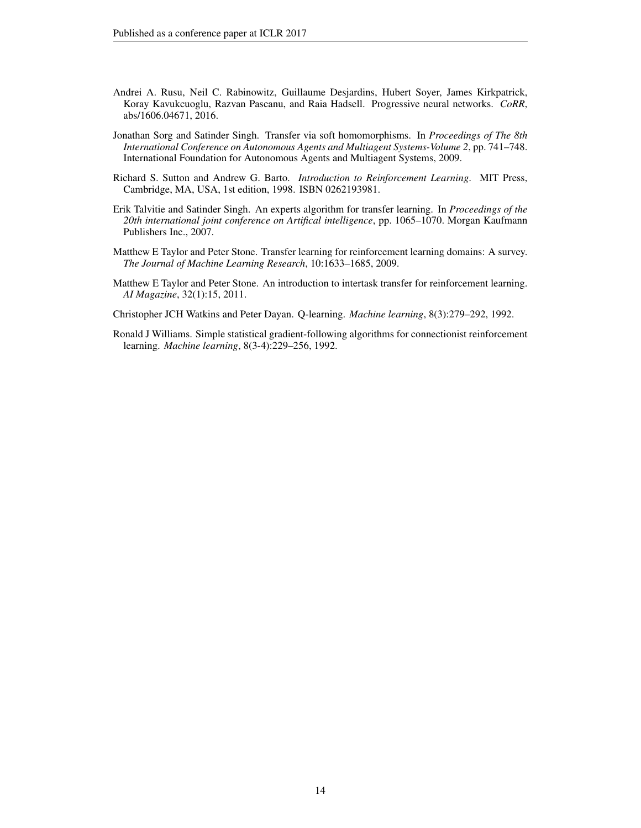- <span id="page-13-4"></span>Andrei A. Rusu, Neil C. Rabinowitz, Guillaume Desjardins, Hubert Soyer, James Kirkpatrick, Koray Kavukcuoglu, Razvan Pascanu, and Raia Hadsell. Progressive neural networks. *CoRR*, abs/1606.04671, 2016.
- <span id="page-13-2"></span>Jonathan Sorg and Satinder Singh. Transfer via soft homomorphisms. In *Proceedings of The 8th International Conference on Autonomous Agents and Multiagent Systems-Volume 2*, pp. 741–748. International Foundation for Autonomous Agents and Multiagent Systems, 2009.
- <span id="page-13-7"></span>Richard S. Sutton and Andrew G. Barto. *Introduction to Reinforcement Learning*. MIT Press, Cambridge, MA, USA, 1st edition, 1998. ISBN 0262193981.
- <span id="page-13-3"></span>Erik Talvitie and Satinder Singh. An experts algorithm for transfer learning. In *Proceedings of the 20th international joint conference on Artifical intelligence*, pp. 1065–1070. Morgan Kaufmann Publishers Inc., 2007.
- <span id="page-13-0"></span>Matthew E Taylor and Peter Stone. Transfer learning for reinforcement learning domains: A survey. *The Journal of Machine Learning Research*, 10:1633–1685, 2009.
- <span id="page-13-1"></span>Matthew E Taylor and Peter Stone. An introduction to intertask transfer for reinforcement learning. *AI Magazine*, 32(1):15, 2011.
- <span id="page-13-6"></span>Christopher JCH Watkins and Peter Dayan. Q-learning. *Machine learning*, 8(3):279–292, 1992.
- <span id="page-13-5"></span>Ronald J Williams. Simple statistical gradient-following algorithms for connectionist reinforcement learning. *Machine learning*, 8(3-4):229–256, 1992.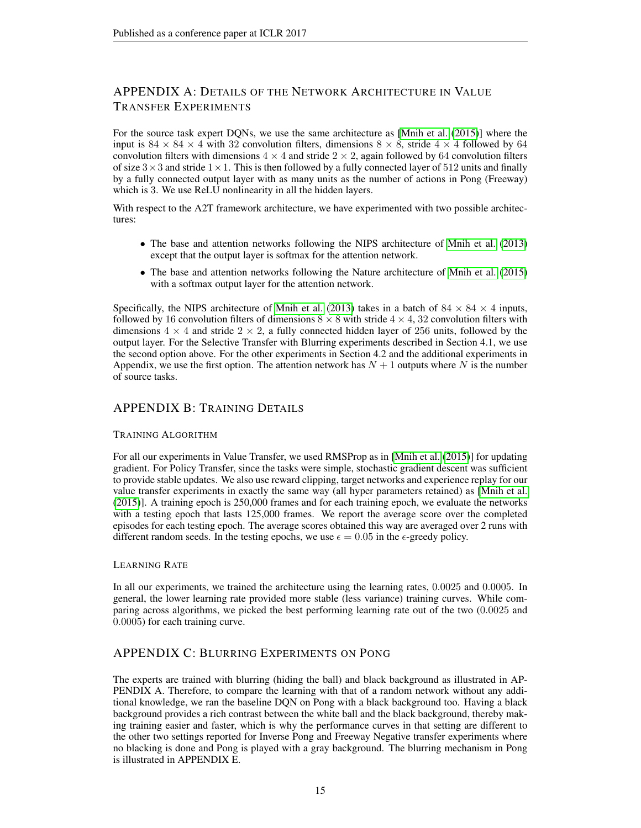# APPENDIX A: DETAILS OF THE NETWORK ARCHITECTURE IN VALUE TRANSFER EXPERIMENTS

For the source task expert DQNs, we use the same architecture as [\[Mnih et al.](#page-12-14) [\(2015\)](#page-12-14)] where the input is  $84 \times 84 \times 4$  with 32 convolution filters, dimensions  $8 \times 8$ , stride  $4 \times 4$  followed by 64 convolution filters with dimensions  $4 \times 4$  and stride  $2 \times 2$ , again followed by 64 convolution filters of size  $3 \times 3$  and stride  $1 \times 1$ . This is then followed by a fully connected layer of 512 units and finally by a fully connected output layer with as many units as the number of actions in Pong (Freeway) which is 3. We use ReLU nonlinearity in all the hidden layers.

With respect to the A2T framework architecture, we have experimented with two possible architectures:

- The base and attention networks following the NIPS architecture of [Mnih et al.](#page-12-18) [\(2013\)](#page-12-18) except that the output layer is softmax for the attention network.
- The base and attention networks following the Nature architecture of [Mnih et al.](#page-12-14) [\(2015\)](#page-12-14) with a softmax output layer for the attention network.

Specifically, the NIPS architecture of [Mnih et al.](#page-12-18) [\(2013\)](#page-12-18) takes in a batch of  $84 \times 84 \times 4$  inputs, followed by 16 convolution filters of dimensions  $8 \times 8$  with stride  $4 \times 4$ , 32 convolution filters with dimensions  $4 \times 4$  and stride  $2 \times 2$ , a fully connected hidden layer of 256 units, followed by the output layer. For the Selective Transfer with Blurring experiments described in Section 4.1, we use the second option above. For the other experiments in Section 4.2 and the additional experiments in Appendix, we use the first option. The attention network has  $N + 1$  outputs where N is the number of source tasks.

### APPENDIX B: TRAINING DETAILS

### TRAINING ALGORITHM

For all our experiments in Value Transfer, we used RMSProp as in [\[Mnih et al.](#page-12-14) [\(2015\)](#page-12-14)] for updating gradient. For Policy Transfer, since the tasks were simple, stochastic gradient descent was sufficient to provide stable updates. We also use reward clipping, target networks and experience replay for our value transfer experiments in exactly the same way (all hyper parameters retained) as [\[Mnih et al.](#page-12-14) [\(2015\)](#page-12-14)]. A training epoch is 250,000 frames and for each training epoch, we evaluate the networks with a testing epoch that lasts 125,000 frames. We report the average score over the completed episodes for each testing epoch. The average scores obtained this way are averaged over 2 runs with different random seeds. In the testing epochs, we use  $\epsilon = 0.05$  in the  $\epsilon$ -greedy policy.

### LEARNING RATE

In all our experiments, we trained the architecture using the learning rates, 0.0025 and 0.0005. In general, the lower learning rate provided more stable (less variance) training curves. While comparing across algorithms, we picked the best performing learning rate out of the two (0.0025 and 0.0005) for each training curve.

### APPENDIX C: BLURRING EXPERIMENTS ON PONG

The experts are trained with blurring (hiding the ball) and black background as illustrated in AP-PENDIX A. Therefore, to compare the learning with that of a random network without any additional knowledge, we ran the baseline DQN on Pong with a black background too. Having a black background provides a rich contrast between the white ball and the black background, thereby making training easier and faster, which is why the performance curves in that setting are different to the other two settings reported for Inverse Pong and Freeway Negative transfer experiments where no blacking is done and Pong is played with a gray background. The blurring mechanism in Pong is illustrated in APPENDIX E.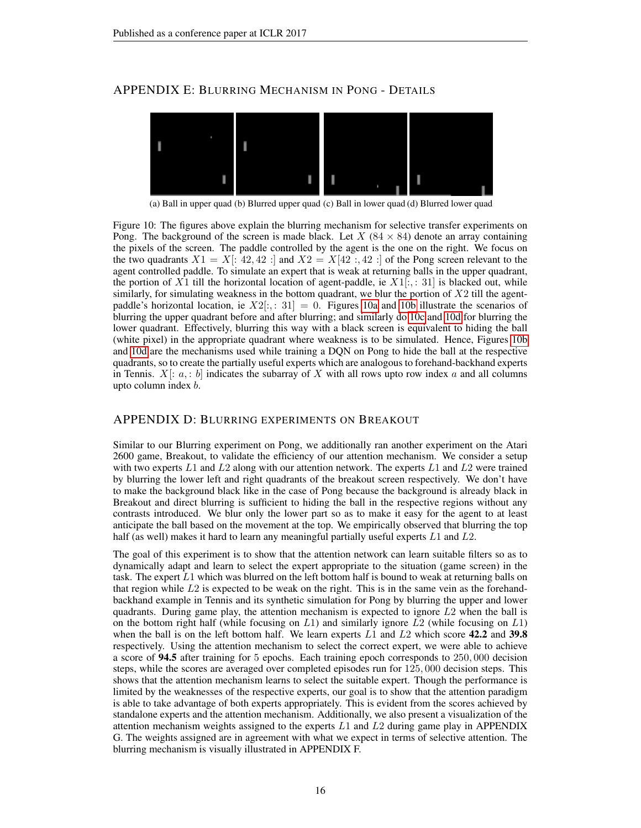### <span id="page-15-0"></span>APPENDIX E: BLURRING MECHANISM IN PONG - DETAILS



<span id="page-15-3"></span><span id="page-15-2"></span><span id="page-15-1"></span>(a) Ball in upper quad (b) Blurred upper quad (c) Ball in lower quad (d) Blurred lower quad

Figure 10: The figures above explain the blurring mechanism for selective transfer experiments on Pong. The background of the screen is made black. Let X ( $84 \times 84$ ) denote an array containing the pixels of the screen. The paddle controlled by the agent is the one on the right. We focus on the two quadrants  $X1 = X$ : 42, 42 : and  $X2 = X[42:, 42:]$  of the Pong screen relevant to the agent controlled paddle. To simulate an expert that is weak at returning balls in the upper quadrant, the portion of X1 till the horizontal location of agent-paddle, ie  $X1[:, 31]$  is blacked out, while similarly, for simulating weakness in the bottom quadrant, we blur the portion of  $X2$  till the agentpaddle's horizontal location, ie  $X2[:, 31] = 0$ . Figures [10a](#page-15-0) and [10b](#page-15-1) illustrate the scenarios of blurring the upper quadrant before and after blurring; and similarly do [10c](#page-15-2) and [10d](#page-15-3) for blurring the lower quadrant. Effectively, blurring this way with a black screen is equivalent to hiding the ball (white pixel) in the appropriate quadrant where weakness is to be simulated. Hence, Figures [10b](#page-15-1) and [10d](#page-15-3) are the mechanisms used while training a DQN on Pong to hide the ball at the respective quadrants, so to create the partially useful experts which are analogous to forehand-backhand experts in Tennis.  $X$ :  $a$ ,  $b$  indicates the subarray of X with all rows upto row index a and all columns upto column index b.

### APPENDIX D: BLURRING EXPERIMENTS ON BREAKOUT

Similar to our Blurring experiment on Pong, we additionally ran another experiment on the Atari 2600 game, Breakout, to validate the efficiency of our attention mechanism. We consider a setup with two experts L1 and L2 along with our attention network. The experts L1 and L2 were trained by blurring the lower left and right quadrants of the breakout screen respectively. We don't have to make the background black like in the case of Pong because the background is already black in Breakout and direct blurring is sufficient to hiding the ball in the respective regions without any contrasts introduced. We blur only the lower part so as to make it easy for the agent to at least anticipate the ball based on the movement at the top. We empirically observed that blurring the top half (as well) makes it hard to learn any meaningful partially useful experts L1 and L2.

The goal of this experiment is to show that the attention network can learn suitable filters so as to dynamically adapt and learn to select the expert appropriate to the situation (game screen) in the task. The expert  $L1$  which was blurred on the left bottom half is bound to weak at returning balls on that region while  $L2$  is expected to be weak on the right. This is in the same vein as the forehandbackhand example in Tennis and its synthetic simulation for Pong by blurring the upper and lower quadrants. During game play, the attention mechanism is expected to ignore L2 when the ball is on the bottom right half (while focusing on  $L_1$ ) and similarly ignore  $L_2$  (while focusing on  $L_1$ ) when the ball is on the left bottom half. We learn experts  $L1$  and  $L2$  which score 42.2 and 39.8 respectively. Using the attention mechanism to select the correct expert, we were able to achieve a score of 94.5 after training for 5 epochs. Each training epoch corresponds to 250, 000 decision steps, while the scores are averaged over completed episodes run for 125, 000 decision steps. This shows that the attention mechanism learns to select the suitable expert. Though the performance is limited by the weaknesses of the respective experts, our goal is to show that the attention paradigm is able to take advantage of both experts appropriately. This is evident from the scores achieved by standalone experts and the attention mechanism. Additionally, we also present a visualization of the attention mechanism weights assigned to the experts  $L1$  and  $L2$  during game play in APPENDIX G. The weights assigned are in agreement with what we expect in terms of selective attention. The blurring mechanism is visually illustrated in APPENDIX F.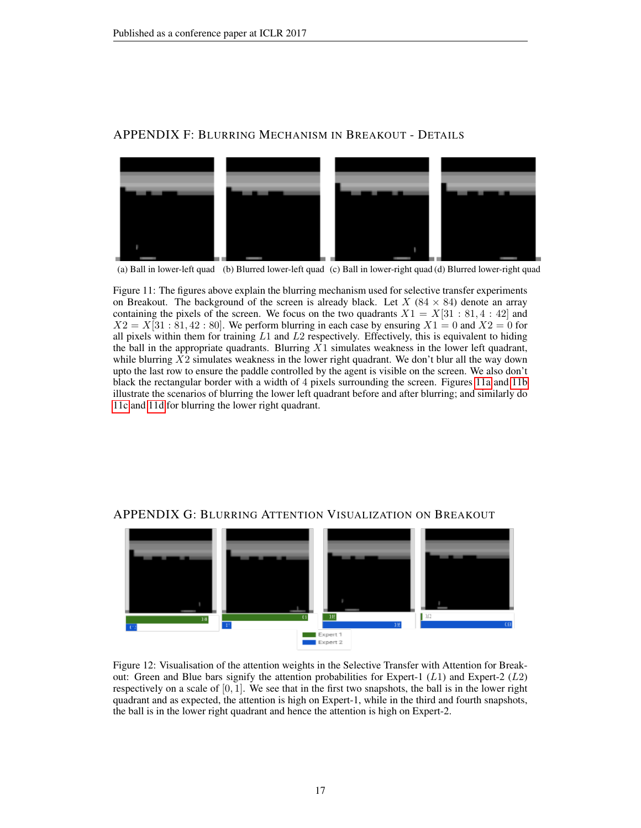<span id="page-16-0"></span>

# APPENDIX F: BLURRING MECHANISM IN BREAKOUT - DETAILS

<span id="page-16-3"></span><span id="page-16-2"></span><span id="page-16-1"></span>(a) Ball in lower-left quad (b) Blurred lower-left quad (c) Ball in lower-right quad (d) Blurred lower-right quad

Figure 11: The figures above explain the blurring mechanism used for selective transfer experiments on Breakout. The background of the screen is already black. Let  $X$  (84  $\times$  84) denote an array containing the pixels of the screen. We focus on the two quadrants  $X1 = X[31 : 81, 4 : 42]$  and  $X2 = X[31 : 81, 42 : 80]$ . We perform blurring in each case by ensuring  $X1 = 0$  and  $X2 = 0$  for all pixels within them for training  $L1$  and  $L2$  respectively. Effectively, this is equivalent to hiding the ball in the appropriate quadrants. Blurring  $\overline{X_1}$  simulates weakness in the lower left quadrant, while blurring  $X2$  simulates weakness in the lower right quadrant. We don't blur all the way down upto the last row to ensure the paddle controlled by the agent is visible on the screen. We also don't black the rectangular border with a width of 4 pixels surrounding the screen. Figures [11a](#page-16-0) and [11b](#page-16-1) illustrate the scenarios of blurring the lower left quadrant before and after blurring; and similarly do [11c](#page-16-2) and [11d](#page-16-3) for blurring the lower right quadrant.



### APPENDIX G: BLURRING ATTENTION VISUALIZATION ON BREAKOUT

Figure 12: Visualisation of the attention weights in the Selective Transfer with Attention for Breakout: Green and Blue bars signify the attention probabilities for Expert-1 (L1) and Expert-2 (L2) respectively on a scale of  $[0, 1]$ . We see that in the first two snapshots, the ball is in the lower right quadrant and as expected, the attention is high on Expert-1, while in the third and fourth snapshots, the ball is in the lower right quadrant and hence the attention is high on Expert-2.